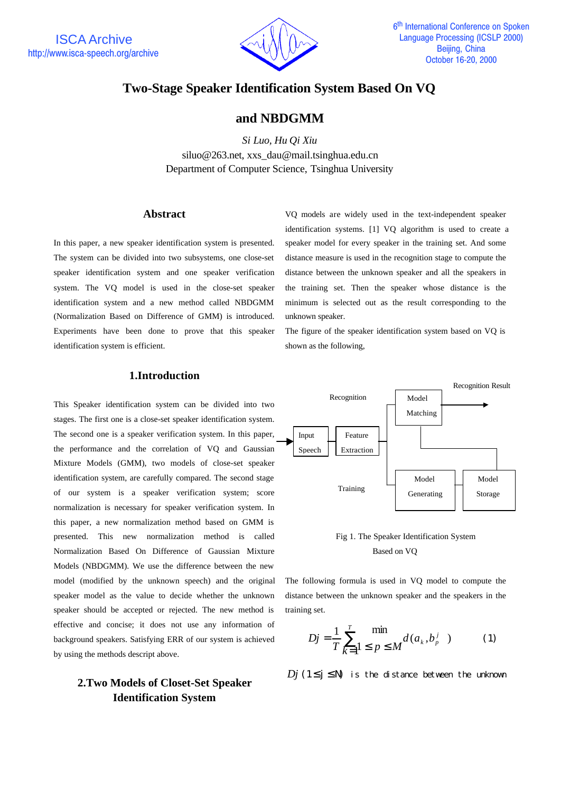

# **Two-Stage Speaker Identification System Based On VQ**

# **and NBDGMM**

*Si Luo, Hu Qi Xiu* siluo@263.net, xxs\_dau@mail.tsinghua.edu.cn Department of Computer Science, Tsinghua University

### **Abstract**

In this paper, a new speaker identification system is presented. The system can be divided into two subsystems, one close-set speaker identification system and one speaker verification system. The VQ model is used in the close-set speaker identification system and a new method called NBDGMM (Normalization Based on Difference of GMM) is introduced. Experiments have been done to prove that this speaker identification system is efficient.

### **1.Introduction**

This Speaker identification system can be divided into two stages. The first one is a close-set speaker identification system. The second one is a speaker verification system. In this paper, the performance and the correlation of VQ and Gaussian Mixture Models (GMM), two models of close-set speaker identification system, are carefully compared. The second stage of our system is a speaker verification system; score normalization is necessary for speaker verification system. In this paper, a new normalization method based on GMM is presented. This new normalization method is called Normalization Based On Difference of Gaussian Mixture Models (NBDGMM). We use the difference between the new model (modified by the unknown speech) and the original speaker model as the value to decide whether the unknown speaker should be accepted or rejected. The new method is effective and concise; it does not use any information of background speakers. Satisfying ERR of our system is achieved by using the methods descript above.

# **2.Two Models of Closet-Set Speaker Identification System**

VQ models are widely used in the text-independent speaker identification systems. [1] VQ algorithm is used to create a speaker model for every speaker in the training set. And some distance measure is used in the recognition stage to compute the distance between the unknown speaker and all the speakers in the training set. Then the speaker whose distance is the minimum is selected out as the result corresponding to the unknown speaker.

The figure of the speaker identification system based on VQ is shown as the following,



Fig 1. The Speaker Identification System Based on VQ

The following formula is used in VQ model to compute the distance between the unknown speaker and the speakers in the training set.

$$
Dj = \frac{1}{T} \sum_{k=1}^{T} \min_{1 \le p \le M} d(a_k, b_p^j) \tag{1}
$$

*Di* (1≤ $i \leq N$ ) is the distance between the unknown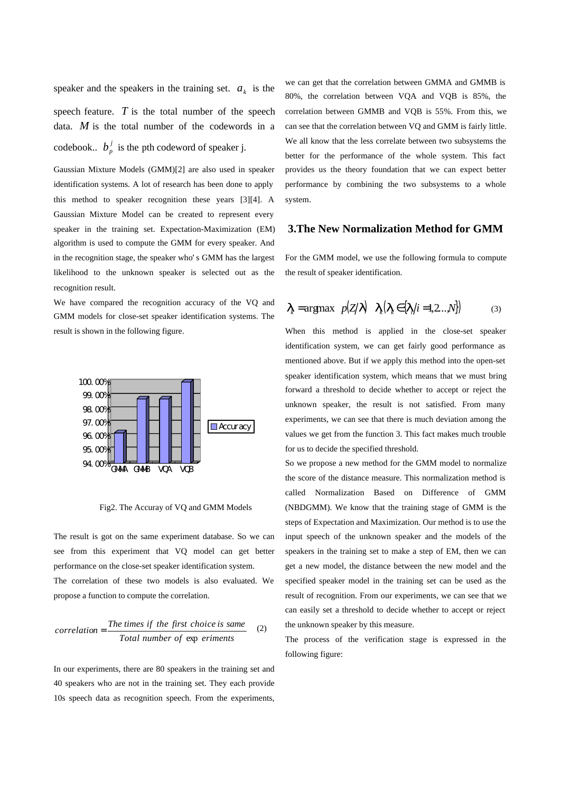speaker and the speakers in the training set.  $a_k$  is the speech feature.  $T$  is the total number of the speech data. *M* is the total number of the codewords in a codebook..  $b_p^j$  is the pth codeword of speaker j.

Gaussian Mixture Models (GMM)[2] are also used in speaker identification systems. A lot of research has been done to apply this method to speaker recognition these years [3][4]. A Gaussian Mixture Model can be created to represent every speaker in the training set. Expectation-Maximization (EM) algorithm is used to compute the GMM for every speaker. And in the recognition stage, the speaker who's GMM has the largest likelihood to the unknown speaker is selected out as the recognition result.

We have compared the recognition accuracy of the VQ and GMM models for close-set speaker identification systems. The result is shown in the following figure.



Fig2. The Accuray of VQ and GMM Models

The result is got on the same experiment database. So we can see from this experiment that VQ model can get better performance on the close-set speaker identification system. The correlation of these two models is also evaluated. We propose a function to compute the correlation.

$$
correlation = \frac{The \ times \ if \ the \ first \ choice \ is \ same}{Total \ number \ of \ exp \ eriments} \tag{2}
$$

In our experiments, there are 80 speakers in the training set and 40 speakers who are not in the training set. They each provide 10s speech data as recognition speech. From the experiments,

we can get that the correlation between GMMA and GMMB is 80%, the correlation between VQA and VQB is 85%, the correlation between GMMB and VQB is 55%. From this, we can see that the correlation between VQ and GMM is fairly little. We all know that the less correlate between two subsystems the better for the performance of the whole system. This fact provides us the theory foundation that we can expect better performance by combining the two subsystems to a whole system.

### **3.The New Normalization Method for GMM**

For the GMM model, we use the following formula to compute the result of speaker identification.

$$
\mathbf{I}_{k} = \operatorname{argmax} \ p(Z|\mathbf{I}) \quad \mathbf{I}_{k}(\mathbf{I}_{k} \in \{ \mathbf{I}_{i} | i = 1, 2 \dots N \}) \tag{3}
$$

When this method is applied in the close-set speaker identification system, we can get fairly good performance as mentioned above. But if we apply this method into the open-set speaker identification system, which means that we must bring forward a threshold to decide whether to accept or reject the unknown speaker, the result is not satisfied. From many experiments, we can see that there is much deviation among the values we get from the function 3. This fact makes much trouble for us to decide the specified threshold.

So we propose a new method for the GMM model to normalize the score of the distance measure. This normalization method is called Normalization Based on Difference of GMM (NBDGMM). We know that the training stage of GMM is the steps of Expectation and Maximization. Our method is to use the input speech of the unknown speaker and the models of the speakers in the training set to make a step of EM, then we can get a new model, the distance between the new model and the specified speaker model in the training set can be used as the result of recognition. From our experiments, we can see that we can easily set a threshold to decide whether to accept or reject the unknown speaker by this measure.

The process of the verification stage is expressed in the following figure: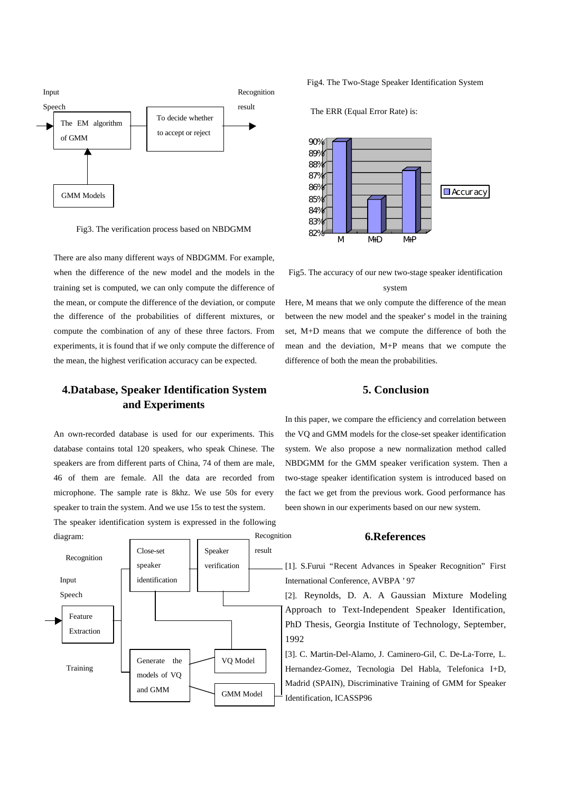

Fig3. The verification process based on NBDGMM

There are also many different ways of NBDGMM. For example, when the difference of the new model and the models in the training set is computed, we can only compute the difference of the mean, or compute the difference of the deviation, or compute the difference of the probabilities of different mixtures, or compute the combination of any of these three factors. From experiments, it is found that if we only compute the difference of the mean, the highest verification accuracy can be expected.

# **4.Database, Speaker Identification System and Experiments**

An own-recorded database is used for our experiments. This database contains total 120 speakers, who speak Chinese. The speakers are from different parts of China, 74 of them are male, 46 of them are female. All the data are recorded from microphone. The sample rate is 8khz. We use 50s for every speaker to train the system. And we use 15s to test the system. The speaker identification system is expressed in the following



Fig4. The Two-Stage Speaker Identification System

The ERR (Equal Error Rate) is:



Fig5. The accuracy of our new two-stage speaker identification

#### system

Here, M means that we only compute the difference of the mean between the new model and the speaker's model in the training set, M+D means that we compute the difference of both the mean and the deviation, M+P means that we compute the difference of both the mean the probabilities.

### **5. Conclusion**

In this paper, we compare the efficiency and correlation between the VQ and GMM models for the close-set speaker identification system. We also propose a new normalization method called NBDGMM for the GMM speaker verification system. Then a two-stage speaker identification system is introduced based on the fact we get from the previous work. Good performance has been shown in our experiments based on our new system.

#### **6.References**

[1]. S.Furui "Recent Advances in Speaker Recognition" First International Conference, AVBPA '97

[2]. Reynolds, D. A. A Gaussian Mixture Modeling Approach to Text-Independent Speaker Identification, PhD Thesis, Georgia Institute of Technology, September, 1992

[3]. C. Martin-Del-Alamo, J. Caminero-Gil, C. De-La-Torre, L. Hernandez-Gomez, Tecnologia Del Habla, Telefonica I+D, Madrid (SPAIN), Discriminative Training of GMM for Speaker Identification, ICASSP96